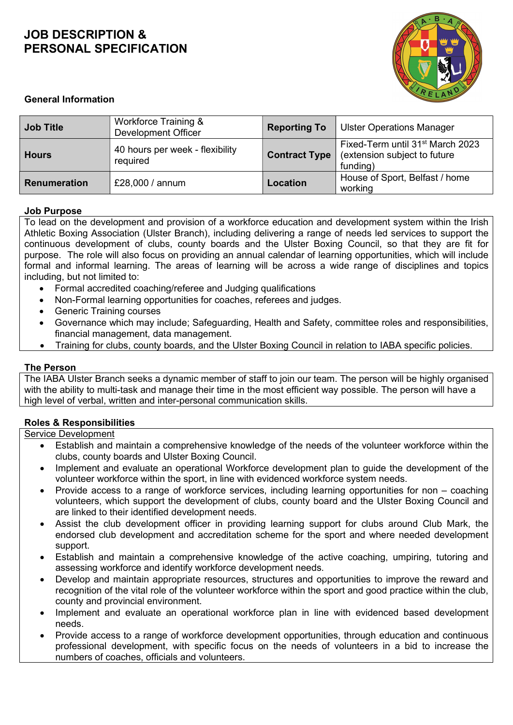

#### General Information

| <b>Job Title</b> | Workforce Training &<br><b>Development Officer</b> | <b>Reporting To</b>  | <b>Ulster Operations Manager</b>                                                         |
|------------------|----------------------------------------------------|----------------------|------------------------------------------------------------------------------------------|
| <b>Hours</b>     | 40 hours per week - flexibility<br>required        | <b>Contract Type</b> | Fixed-Term until 31 <sup>st</sup> March 2023<br>(extension subject to future<br>funding) |
| Renumeration     | £28,000 / annum                                    | Location             | House of Sport, Belfast / home<br>working                                                |

#### Job Purpose

To lead on the development and provision of a workforce education and development system within the Irish Athletic Boxing Association (Ulster Branch), including delivering a range of needs led services to support the continuous development of clubs, county boards and the Ulster Boxing Council, so that they are fit for purpose. The role will also focus on providing an annual calendar of learning opportunities, which will include formal and informal learning. The areas of learning will be across a wide range of disciplines and topics including, but not limited to:

- Formal accredited coaching/referee and Judging qualifications
- Non-Formal learning opportunities for coaches, referees and judges.
- Generic Training courses
- Governance which may include; Safeguarding, Health and Safety, committee roles and responsibilities, financial management, data management.
- Training for clubs, county boards, and the Ulster Boxing Council in relation to IABA specific policies.

#### The Person

The IABA Ulster Branch seeks a dynamic member of staff to join our team. The person will be highly organised with the ability to multi-task and manage their time in the most efficient way possible. The person will have a high level of verbal, written and inter-personal communication skills.

#### Roles & Responsibilities

Service Development

- Establish and maintain a comprehensive knowledge of the needs of the volunteer workforce within the clubs, county boards and Ulster Boxing Council.
- Implement and evaluate an operational Workforce development plan to guide the development of the volunteer workforce within the sport, in line with evidenced workforce system needs.
- Provide access to a range of workforce services, including learning opportunities for non coaching volunteers, which support the development of clubs, county board and the Ulster Boxing Council and are linked to their identified development needs.
- Assist the club development officer in providing learning support for clubs around Club Mark, the endorsed club development and accreditation scheme for the sport and where needed development support.
- Establish and maintain a comprehensive knowledge of the active coaching, umpiring, tutoring and assessing workforce and identify workforce development needs.
- Develop and maintain appropriate resources, structures and opportunities to improve the reward and recognition of the vital role of the volunteer workforce within the sport and good practice within the club, county and provincial environment.
- Implement and evaluate an operational workforce plan in line with evidenced based development needs.
- Provide access to a range of workforce development opportunities, through education and continuous professional development, with specific focus on the needs of volunteers in a bid to increase the numbers of coaches, officials and volunteers.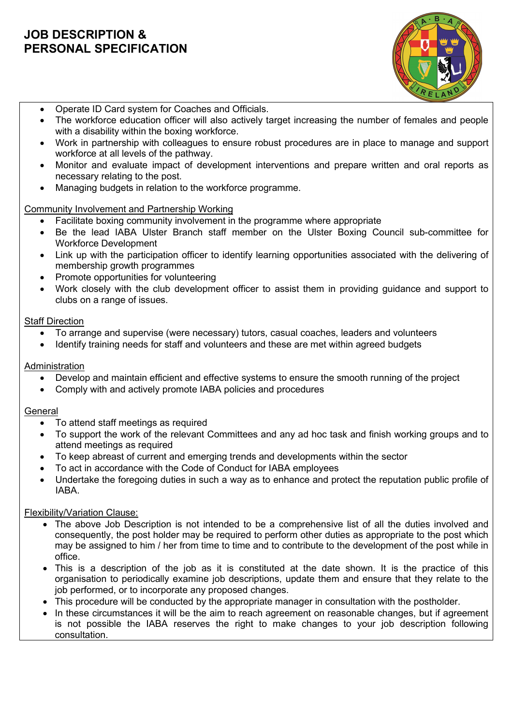

- Operate ID Card system for Coaches and Officials.
- The workforce education officer will also actively target increasing the number of females and people with a disability within the boxing workforce.
- Work in partnership with colleagues to ensure robust procedures are in place to manage and support workforce at all levels of the pathway.
- Monitor and evaluate impact of development interventions and prepare written and oral reports as necessary relating to the post.
- Managing budgets in relation to the workforce programme.

## Community Involvement and Partnership Working

- Facilitate boxing community involvement in the programme where appropriate
- Be the lead IABA Ulster Branch staff member on the Ulster Boxing Council sub-committee for Workforce Development
- Link up with the participation officer to identify learning opportunities associated with the delivering of membership growth programmes
- Promote opportunities for volunteering
- Work closely with the club development officer to assist them in providing guidance and support to clubs on a range of issues.

### Staff Direction

- To arrange and supervise (were necessary) tutors, casual coaches, leaders and volunteers
- Identify training needs for staff and volunteers and these are met within agreed budgets

### **Administration**

- Develop and maintain efficient and effective systems to ensure the smooth running of the project
- Comply with and actively promote IABA policies and procedures

#### General

- To attend staff meetings as required
- To support the work of the relevant Committees and any ad hoc task and finish working groups and to attend meetings as required
- To keep abreast of current and emerging trends and developments within the sector
- To act in accordance with the Code of Conduct for IABA employees
- Undertake the foregoing duties in such a way as to enhance and protect the reputation public profile of IABA.

## Flexibility/Variation Clause:

- The above Job Description is not intended to be a comprehensive list of all the duties involved and consequently, the post holder may be required to perform other duties as appropriate to the post which may be assigned to him / her from time to time and to contribute to the development of the post while in office.
- This is a description of the job as it is constituted at the date shown. It is the practice of this organisation to periodically examine job descriptions, update them and ensure that they relate to the job performed, or to incorporate any proposed changes.
- This procedure will be conducted by the appropriate manager in consultation with the postholder.
- In these circumstances it will be the aim to reach agreement on reasonable changes, but if agreement is not possible the IABA reserves the right to make changes to your job description following consultation.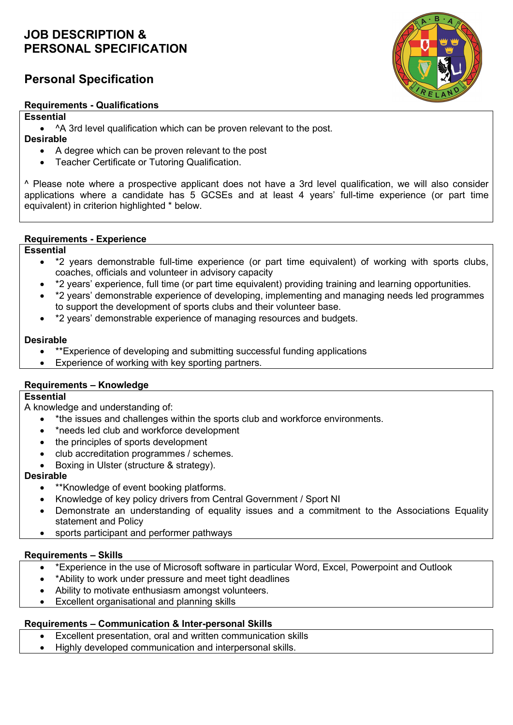# Personal Specification

#### Requirements - Qualifications



# **Essential**

- ^A 3rd level qualification which can be proven relevant to the post.
- Desirable
	- A degree which can be proven relevant to the post
	- Teacher Certificate or Tutoring Qualification.

^ Please note where a prospective applicant does not have a 3rd level qualification, we will also consider applications where a candidate has 5 GCSEs and at least 4 years' full-time experience (or part time equivalent) in criterion highlighted \* below.

### Requirements - Experience

### **Essential**

- \*2 years demonstrable full-time experience (or part time equivalent) of working with sports clubs, coaches, officials and volunteer in advisory capacity
- \*2 years' experience, full time (or part time equivalent) providing training and learning opportunities.
- \*2 years' demonstrable experience of developing, implementing and managing needs led programmes to support the development of sports clubs and their volunteer base.
- \*2 years' demonstrable experience of managing resources and budgets.

### Desirable

- \*\*Experience of developing and submitting successful funding applications
- Experience of working with key sporting partners.

## Requirements – Knowledge

#### **Essential**

A knowledge and understanding of:

- \* the issues and challenges within the sports club and workforce environments.
- \*needs led club and workforce development
- the principles of sports development
- club accreditation programmes / schemes.
- Boxing in Ulster (structure & strategy).

## Desirable

- \*\*Knowledge of event booking platforms.
- Knowledge of key policy drivers from Central Government / Sport NI
- Demonstrate an understanding of equality issues and a commitment to the Associations Equality statement and Policy
- sports participant and performer pathways

## Requirements – Skills

- \*Experience in the use of Microsoft software in particular Word, Excel, Powerpoint and Outlook
- \*Ability to work under pressure and meet tight deadlines
- Ability to motivate enthusiasm amongst volunteers.
- Excellent organisational and planning skills

## Requirements – Communication & Inter-personal Skills

- Excellent presentation, oral and written communication skills
- Highly developed communication and interpersonal skills.